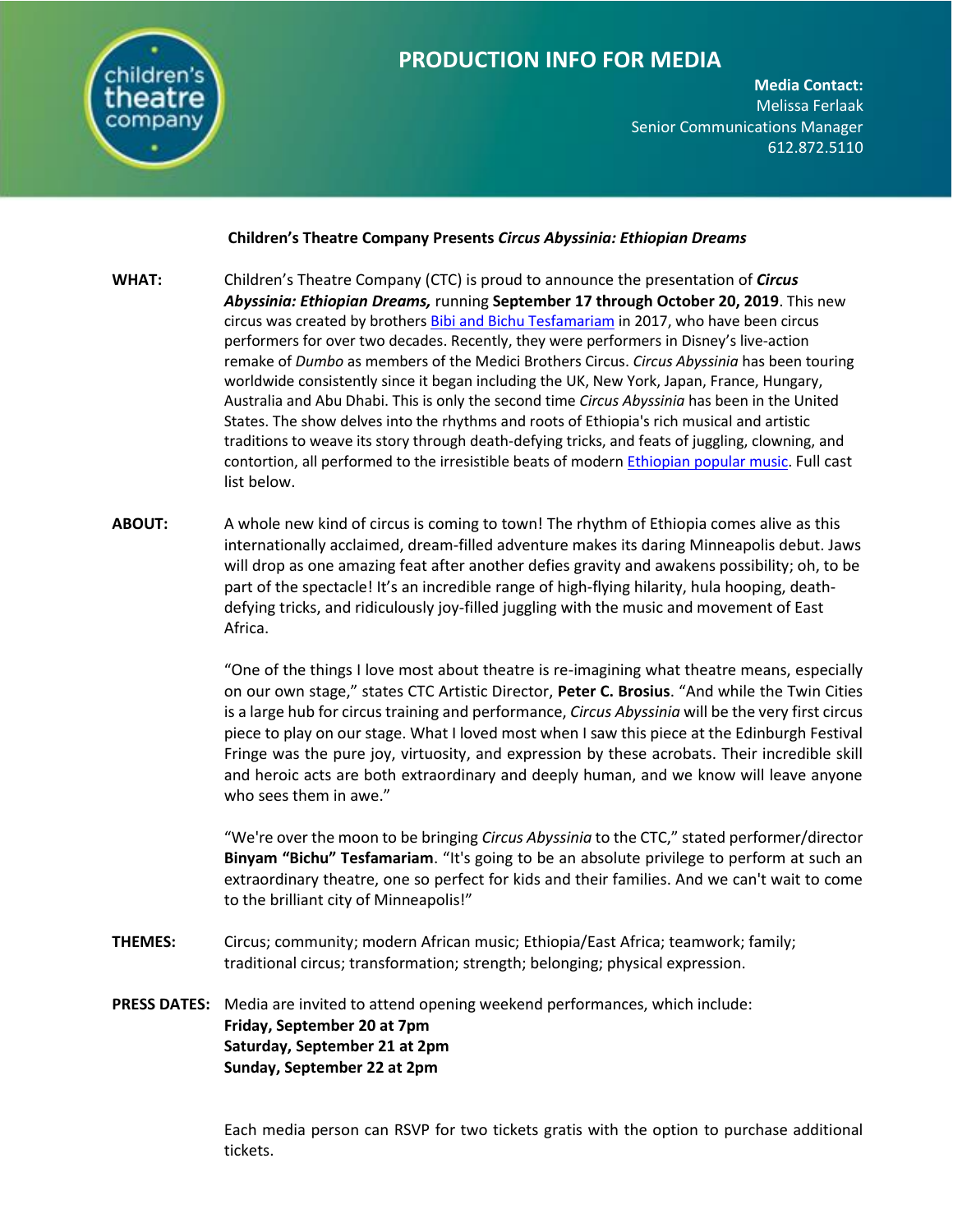

**Media Contact:**  Melissa Ferlaak Senior Communications Manager 612.872.5110

## **Children's Theatre Company Presents** *Circus Abyssinia: Ethiopian Dreams*

- **WHAT:** Children's Theatre Company (CTC) is proud to announce the presentation of *Circus Abyssinia: Ethiopian Dreams,* running **September 17 through October 20, 2019**. This new circus was created by brother[s Bibi and Bichu Tesfamariam](https://www.bibiandbichu.com/circus-abyssinia) in 2017, who have been circus performers for over two decades. Recently, they were performers in Disney's live-action remake of *Dumbo* as members of the Medici Brothers Circus. *Circus Abyssinia* has been touring worldwide consistently since it began including the UK, New York, Japan, France, Hungary, Australia and Abu Dhabi. This is only the second time *Circus Abyssinia* has been in the United States. The show delves into the rhythms and roots of Ethiopia's rich musical and artistic traditions to weave its story through death-defying tricks, and feats of juggling, clowning, and contortion, all performed to the irresistible beats of modern [Ethiopian popular music.](https://offbook.childrenstheatre.org/the-rhythms-of-ethiopian-dreams-af8e1b7bb443) Full cast list below.
- **ABOUT:** A whole new kind of circus is coming to town! The rhythm of Ethiopia comes alive as this internationally acclaimed, dream-filled adventure makes its daring Minneapolis debut. Jaws will drop as one amazing feat after another defies gravity and awakens possibility; oh, to be part of the spectacle! It's an incredible range of high-flying hilarity, hula hooping, deathdefying tricks, and ridiculously joy-filled juggling with the music and movement of East Africa.

"One of the things I love most about theatre is re-imagining what theatre means, especially on our own stage," states CTC Artistic Director, **Peter C. Brosius**. "And while the Twin Cities is a large hub for circus training and performance, *Circus Abyssinia* will be the very first circus piece to play on our stage. What I loved most when I saw this piece at the Edinburgh Festival Fringe was the pure joy, virtuosity, and expression by these acrobats. Their incredible skill and heroic acts are both extraordinary and deeply human, and we know will leave anyone who sees them in awe."

"We're over the moon to be bringing *Circus Abyssinia* to the CTC," stated performer/director **Binyam "Bichu" Tesfamariam**. "It's going to be an absolute privilege to perform at such an extraordinary theatre, one so perfect for kids and their families. And we can't wait to come to the brilliant city of Minneapolis!"

- **THEMES:** Circus; community; modern African music; Ethiopia/East Africa; teamwork; family; traditional circus; transformation; strength; belonging; physical expression.
- **PRESS DATES:** Media are invited to attend opening weekend performances, which include: **Friday, September 20 at 7pm Saturday, September 21 at 2pm Sunday, September 22 at 2pm**

Each media person can RSVP for two tickets gratis with the option to purchase additional tickets.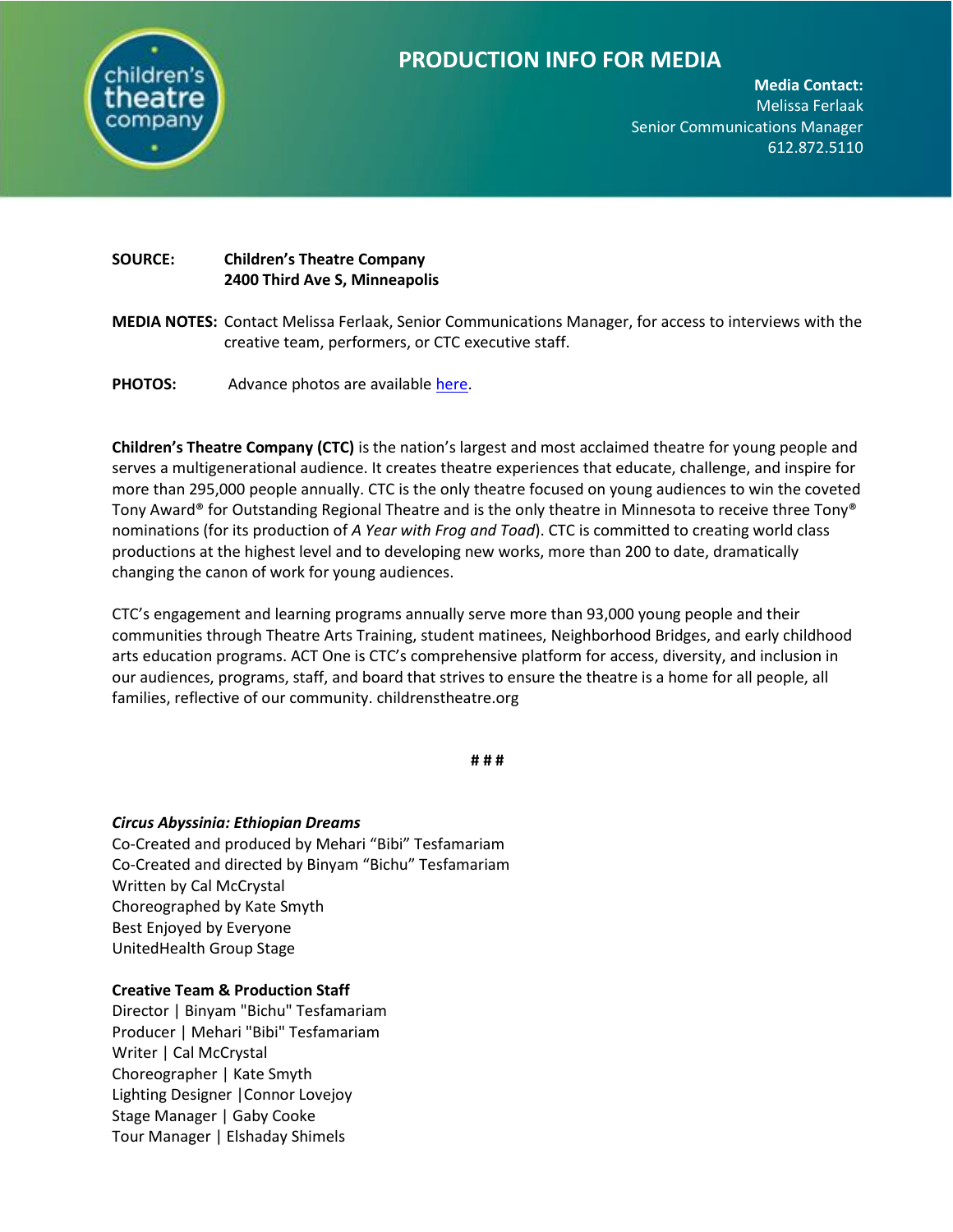

**Media Contact:**  Melissa Ferlaak Senior Communications Manager 612.872.5110

# **SOURCE: Children's Theatre Company 2400 Third Ave S, Minneapolis**

- **MEDIA NOTES:** Contact Melissa Ferlaak, Senior Communications Manager, for access to interviews with the creative team, performers, or CTC executive staff.
- PHOTOS: Advance photos are available [here.](https://www.dropbox.com/sh/q68hfk16go4fyc8/AABWWHfEkuJ-iPdUCT4zqTxva?dl=0)

**Children's Theatre Company (CTC)** is the nation's largest and most acclaimed theatre for young people and serves a multigenerational audience. It creates theatre experiences that educate, challenge, and inspire for more than 295,000 people annually. CTC is the only theatre focused on young audiences to win the coveted Tony Award® for Outstanding Regional Theatre and is the only theatre in Minnesota to receive three Tony® nominations (for its production of *A Year with Frog and Toad*). CTC is committed to creating world class productions at the highest level and to developing new works, more than 200 to date, dramatically changing the canon of work for young audiences.

CTC's engagement and learning programs annually serve more than 93,000 young people and their communities through Theatre Arts Training, student matinees, Neighborhood Bridges, and early childhood arts education programs. ACT One is CTC's comprehensive platform for access, diversity, and inclusion in our audiences, programs, staff, and board that strives to ensure the theatre is a home for all people, all families, reflective of our community. childrenstheatre.org

**# # #**

## *Circus Abyssinia: Ethiopian Dreams*

Co-Created and produced by Mehari "Bibi" Tesfamariam Co-Created and directed by Binyam "Bichu" Tesfamariam Written by Cal McCrystal Choreographed by Kate Smyth Best Enjoyed by Everyone UnitedHealth Group Stage

## **Creative Team & Production Staff**

Director | Binyam "Bichu" Tesfamariam Producer | Mehari "Bibi" Tesfamariam Writer | Cal McCrystal Choreographer | Kate Smyth Lighting Designer |Connor Lovejoy Stage Manager | Gaby Cooke Tour Manager | Elshaday Shimels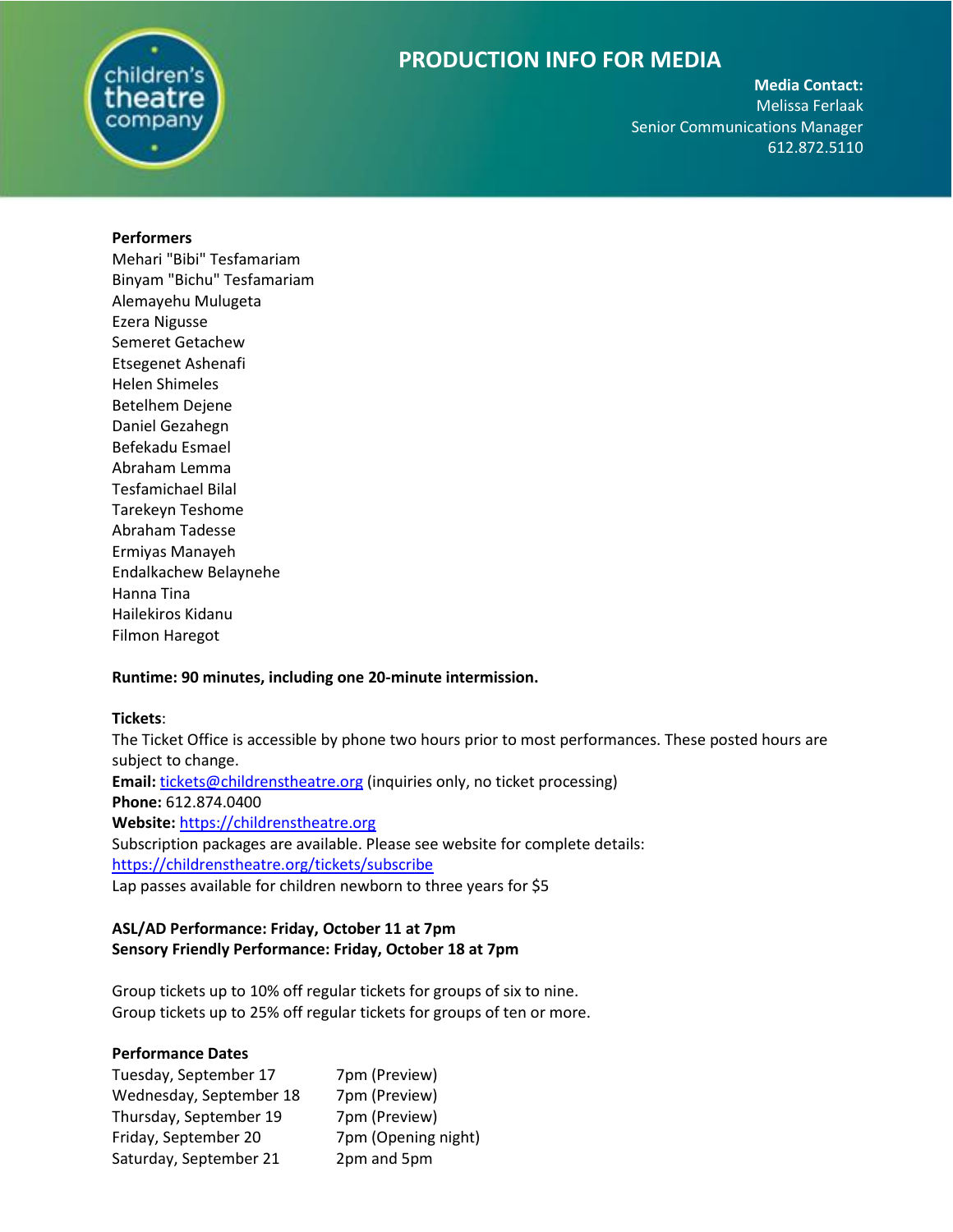

**Media Contact:**  Melissa Ferlaak Senior Communications Manager 612.872.5110

### **Performers**

Mehari "Bibi" Tesfamariam Binyam "Bichu" Tesfamariam Alemayehu Mulugeta Ezera Nigusse Semeret Getachew Etsegenet Ashenafi Helen Shimeles Betelhem Dejene Daniel Gezahegn Befekadu Esmael Abraham Lemma Tesfamichael Bilal Tarekeyn Teshome Abraham Tadesse Ermiyas Manayeh Endalkachew Belaynehe Hanna Tina Hailekiros Kidanu Filmon Haregot

## **Runtime: 90 minutes, including one 20-minute intermission.**

## **Tickets**:

The Ticket Office is accessible by phone two hours prior to most performances. These posted hours are subject to change. **Email:** [tickets@childrenstheatre.org](mailto:tickets@childrenstheatre.org) (inquiries only, no ticket processing) **Phone:** 612.874.0400 **Website:** [https://childrenstheatre.org](https://childrenstheatre.org/) Subscription packages are available. Please see website for complete details: <https://childrenstheatre.org/tickets/subscribe> Lap passes available for children newborn to three years for \$5

# **ASL/AD Performance: Friday, October 11 at 7pm Sensory Friendly Performance: Friday, October 18 at 7pm**

Group tickets up to 10% off regular tickets for groups of six to nine. Group tickets up to 25% off regular tickets for groups of ten or more.

# **Performance Dates**

| Tuesday, September 17   | 7pm (Preview)       |
|-------------------------|---------------------|
| Wednesday, September 18 | 7pm (Preview)       |
| Thursday, September 19  | 7pm (Preview)       |
| Friday, September 20    | 7pm (Opening night) |
| Saturday, September 21  | 2pm and 5pm         |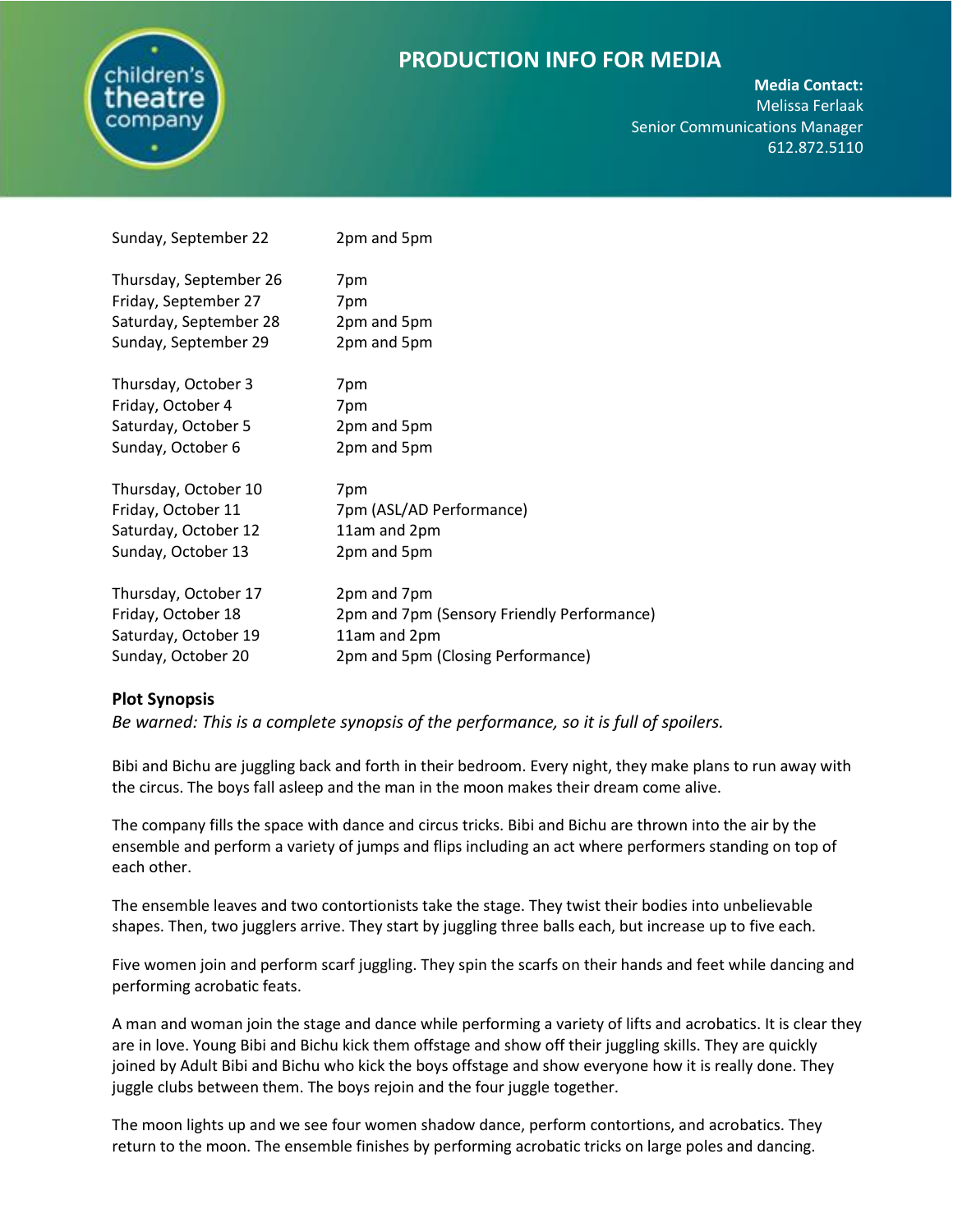

**Media Contact:** 

Melissa Ferlaak Senior Communications Manager 612.872.5110

| Sunday, September 22   | 2pm and 5pm                                |
|------------------------|--------------------------------------------|
| Thursday, September 26 | 7pm                                        |
| Friday, September 27   | 7pm                                        |
| Saturday, September 28 | 2pm and 5pm                                |
| Sunday, September 29   | 2pm and 5pm                                |
| Thursday, October 3    | 7pm                                        |
| Friday, October 4      | 7pm                                        |
| Saturday, October 5    | 2pm and 5pm                                |
| Sunday, October 6      | 2pm and 5pm                                |
| Thursday, October 10   | 7pm                                        |
| Friday, October 11     | 7pm (ASL/AD Performance)                   |
| Saturday, October 12   | 11am and 2pm                               |
| Sunday, October 13     | 2pm and 5pm                                |
| Thursday, October 17   | 2pm and 7pm                                |
| Friday, October 18     | 2pm and 7pm (Sensory Friendly Performance) |
| Saturday, October 19   | 11am and 2pm                               |
| Sunday, October 20     | 2pm and 5pm (Closing Performance)          |

## **Plot Synopsis**

*Be warned: This is a complete synopsis of the performance, so it is full of spoilers.*

Bibi and Bichu are juggling back and forth in their bedroom. Every night, they make plans to run away with the circus. The boys fall asleep and the man in the moon makes their dream come alive.

The company fills the space with dance and circus tricks. Bibi and Bichu are thrown into the air by the ensemble and perform a variety of jumps and flips including an act where performers standing on top of each other.

The ensemble leaves and two contortionists take the stage. They twist their bodies into unbelievable shapes. Then, two jugglers arrive. They start by juggling three balls each, but increase up to five each.

Five women join and perform scarf juggling. They spin the scarfs on their hands and feet while dancing and performing acrobatic feats.

A man and woman join the stage and dance while performing a variety of lifts and acrobatics. It is clear they are in love. Young Bibi and Bichu kick them offstage and show off their juggling skills. They are quickly joined by Adult Bibi and Bichu who kick the boys offstage and show everyone how it is really done. They juggle clubs between them. The boys rejoin and the four juggle together.

The moon lights up and we see four women shadow dance, perform contortions, and acrobatics. They return to the moon. The ensemble finishes by performing acrobatic tricks on large poles and dancing.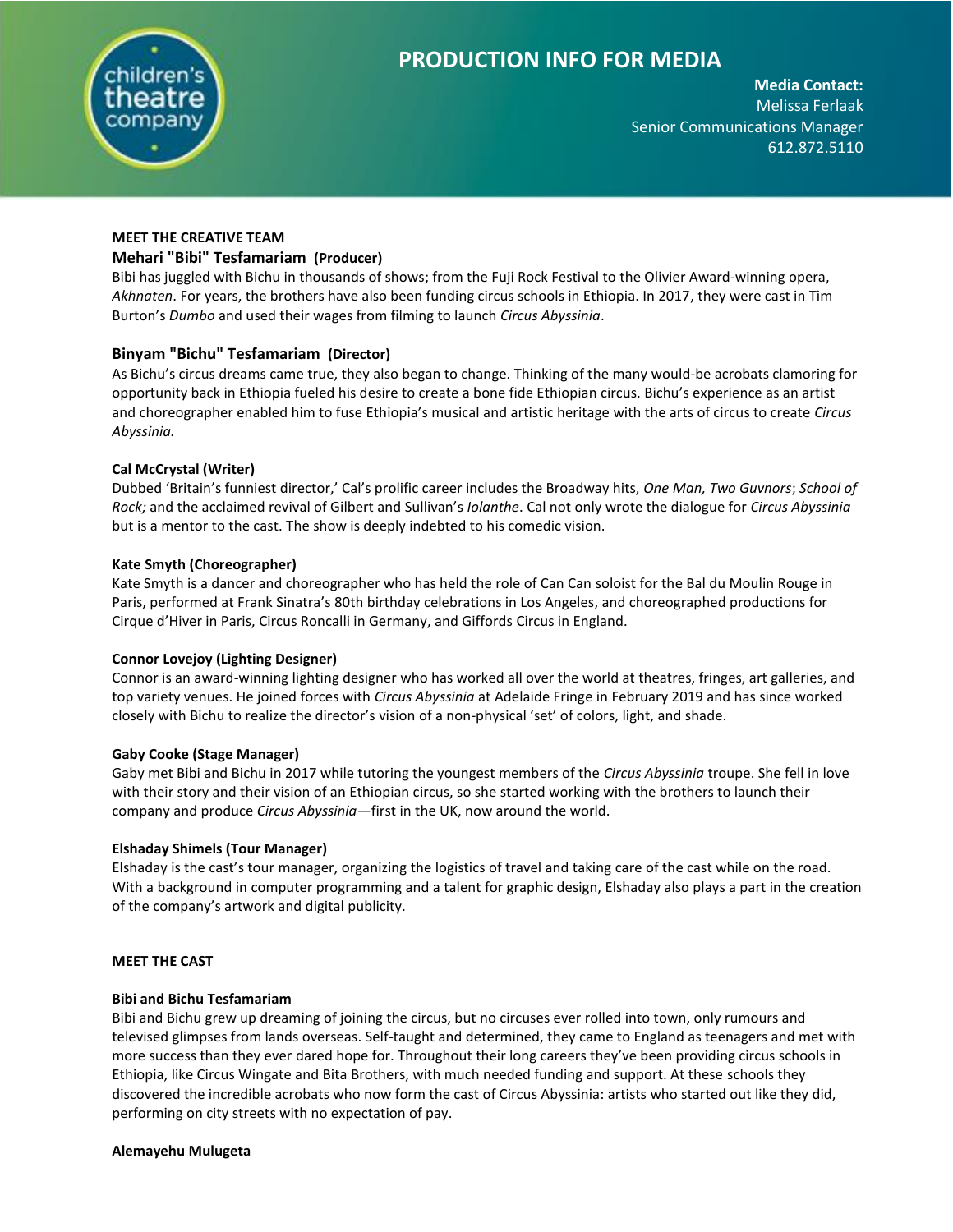

**Media Contact:**  Melissa Ferlaak Senior Communications Manager 612.872.5110

# **MEET THE CREATIVE TEAM Mehari "Bibi" Tesfamariam (Producer)**

Bibi has juggled with Bichu in thousands of shows; from the Fuji Rock Festival to the Olivier Award-winning opera, *Akhnaten*. For years, the brothers have also been funding circus schools in Ethiopia. In 2017, they were cast in Tim Burton's *Dumbo* and used their wages from filming to launch *Circus Abyssinia*.

## **Binyam "Bichu" Tesfamariam (Director)**

As Bichu's circus dreams came true, they also began to change. Thinking of the many would-be acrobats clamoring for opportunity back in Ethiopia fueled his desire to create a bone fide Ethiopian circus. Bichu's experience as an artist and choreographer enabled him to fuse Ethiopia's musical and artistic heritage with the arts of circus to create *Circus Abyssinia.*

## **Cal McCrystal (Writer)**

Dubbed 'Britain's funniest director,' Cal's prolific career includes the Broadway hits, *One Man, Two Guvnors*; *School of Rock;* and the acclaimed revival of Gilbert and Sullivan's *Iolanthe*. Cal not only wrote the dialogue for *Circus Abyssinia*  but is a mentor to the cast. The show is deeply indebted to his comedic vision.

## **Kate Smyth (Choreographer)**

Kate Smyth is a dancer and choreographer who has held the role of Can Can soloist for the Bal du Moulin Rouge in Paris, performed at Frank Sinatra's 80th birthday celebrations in Los Angeles, and choreographed productions for Cirque d'Hiver in Paris, Circus Roncalli in Germany, and Giffords Circus in England.

## **Connor Lovejoy (Lighting Designer)**

Connor is an award-winning lighting designer who has worked all over the world at theatres, fringes, art galleries, and top variety venues. He joined forces with *Circus Abyssinia* at Adelaide Fringe in February 2019 and has since worked closely with Bichu to realize the director's vision of a non-physical 'set' of colors, light, and shade.

## **Gaby Cooke (Stage Manager)**

Gaby met Bibi and Bichu in 2017 while tutoring the youngest members of the *Circus Abyssinia* troupe. She fell in love with their story and their vision of an Ethiopian circus, so she started working with the brothers to launch their company and produce *Circus Abyssinia*—first in the UK, now around the world.

## **Elshaday Shimels (Tour Manager)**

Elshaday is the cast's tour manager, organizing the logistics of travel and taking care of the cast while on the road. With a background in computer programming and a talent for graphic design, Elshaday also plays a part in the creation of the company's artwork and digital publicity.

## **MEET THE CAST**

## **Bibi and Bichu Tesfamariam**

Bibi and Bichu grew up dreaming of joining the circus, but no circuses ever rolled into town, only rumours and televised glimpses from lands overseas. Self-taught and determined, they came to England as teenagers and met with more success than they ever dared hope for. Throughout their long careers they've been providing circus schools in Ethiopia, like Circus Wingate and Bita Brothers, with much needed funding and support. At these schools they discovered the incredible acrobats who now form the cast of Circus Abyssinia: artists who started out like they did, performing on city streets with no expectation of pay.

### **Alemayehu Mulugeta**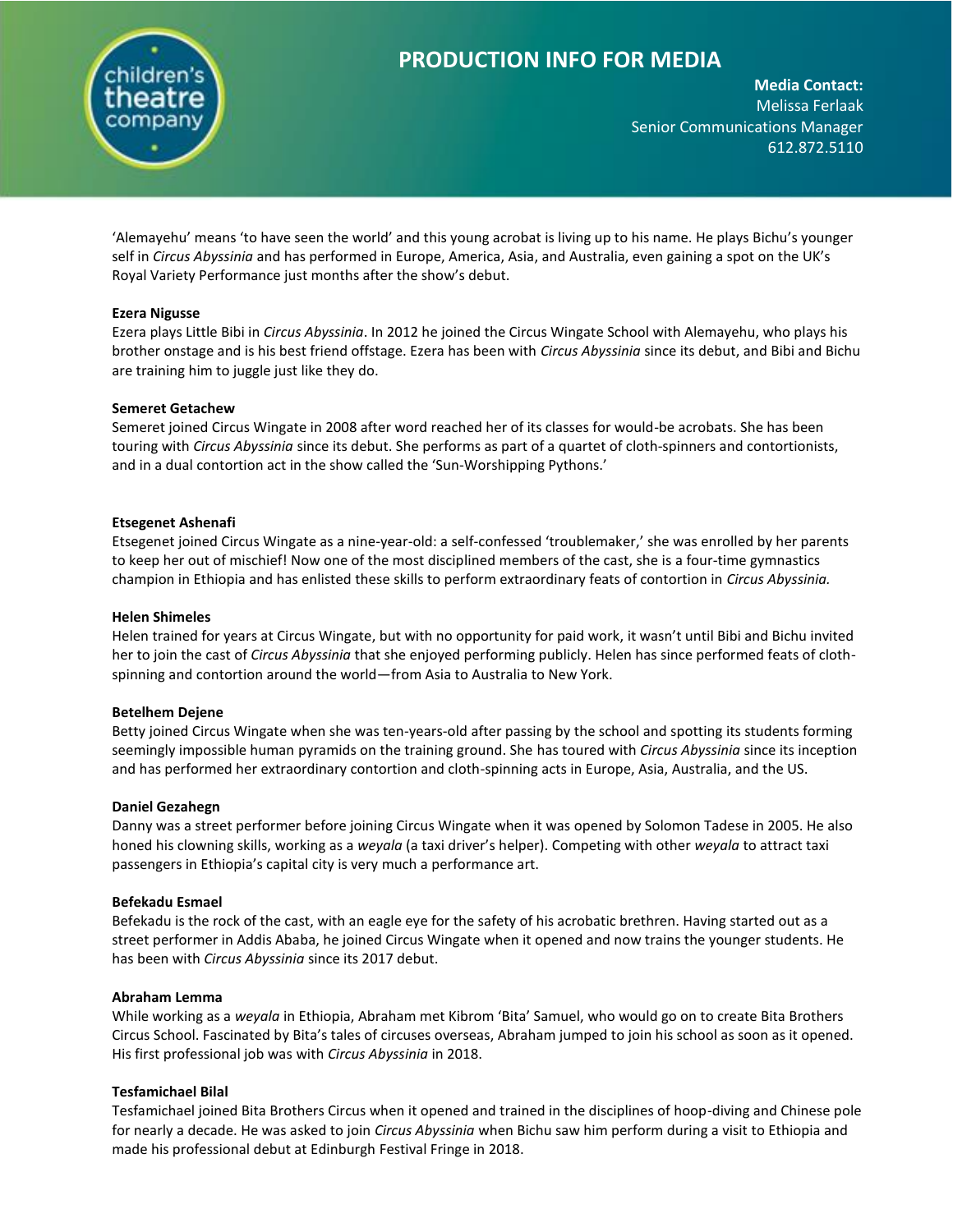

**Media Contact:**  Melissa Ferlaak Senior Communications Manager 612.872.5110

'Alemayehu' means 'to have seen the world' and this young acrobat is living up to his name. He plays Bichu's younger self in *Circus Abyssinia* and has performed in Europe, America, Asia, and Australia, even gaining a spot on the UK's Royal Variety Performance just months after the show's debut.

### **Ezera Nigusse**

Ezera plays Little Bibi in *Circus Abyssinia*. In 2012 he joined the Circus Wingate School with Alemayehu, who plays his brother onstage and is his best friend offstage. Ezera has been with *Circus Abyssinia* since its debut, and Bibi and Bichu are training him to juggle just like they do.

### **Semeret Getachew**

Semeret joined Circus Wingate in 2008 after word reached her of its classes for would-be acrobats. She has been touring with *Circus Abyssinia* since its debut. She performs as part of a quartet of cloth-spinners and contortionists, and in a dual contortion act in the show called the 'Sun-Worshipping Pythons.'

### **Etsegenet Ashenafi**

Etsegenet joined Circus Wingate as a nine-year-old: a self-confessed 'troublemaker,' she was enrolled by her parents to keep her out of mischief! Now one of the most disciplined members of the cast, she is a four-time gymnastics champion in Ethiopia and has enlisted these skills to perform extraordinary feats of contortion in *Circus Abyssinia.* 

### **Helen Shimeles**

Helen trained for years at Circus Wingate, but with no opportunity for paid work, it wasn't until Bibi and Bichu invited her to join the cast of *Circus Abyssinia* that she enjoyed performing publicly. Helen has since performed feats of clothspinning and contortion around the world—from Asia to Australia to New York.

### **Betelhem Dejene**

Betty joined Circus Wingate when she was ten-years-old after passing by the school and spotting its students forming seemingly impossible human pyramids on the training ground. She has toured with *Circus Abyssinia* since its inception and has performed her extraordinary contortion and cloth-spinning acts in Europe, Asia, Australia, and the US.

### **Daniel Gezahegn**

Danny was a street performer before joining Circus Wingate when it was opened by Solomon Tadese in 2005. He also honed his clowning skills, working as a *weyala* (a taxi driver's helper). Competing with other *weyala* to attract taxi passengers in Ethiopia's capital city is very much a performance art.

### **Befekadu Esmael**

Befekadu is the rock of the cast, with an eagle eye for the safety of his acrobatic brethren. Having started out as a street performer in Addis Ababa, he joined Circus Wingate when it opened and now trains the younger students. He has been with *Circus Abyssinia* since its 2017 debut.

### **Abraham Lemma**

While working as a *weyala* in Ethiopia, Abraham met Kibrom 'Bita' Samuel, who would go on to create Bita Brothers Circus School. Fascinated by Bita's tales of circuses overseas, Abraham jumped to join his school as soon as it opened. His first professional job was with *Circus Abyssinia* in 2018.

## **Tesfamichael Bilal**

Tesfamichael joined Bita Brothers Circus when it opened and trained in the disciplines of hoop-diving and Chinese pole for nearly a decade. He was asked to join *Circus Abyssinia* when Bichu saw him perform during a visit to Ethiopia and made his professional debut at Edinburgh Festival Fringe in 2018.